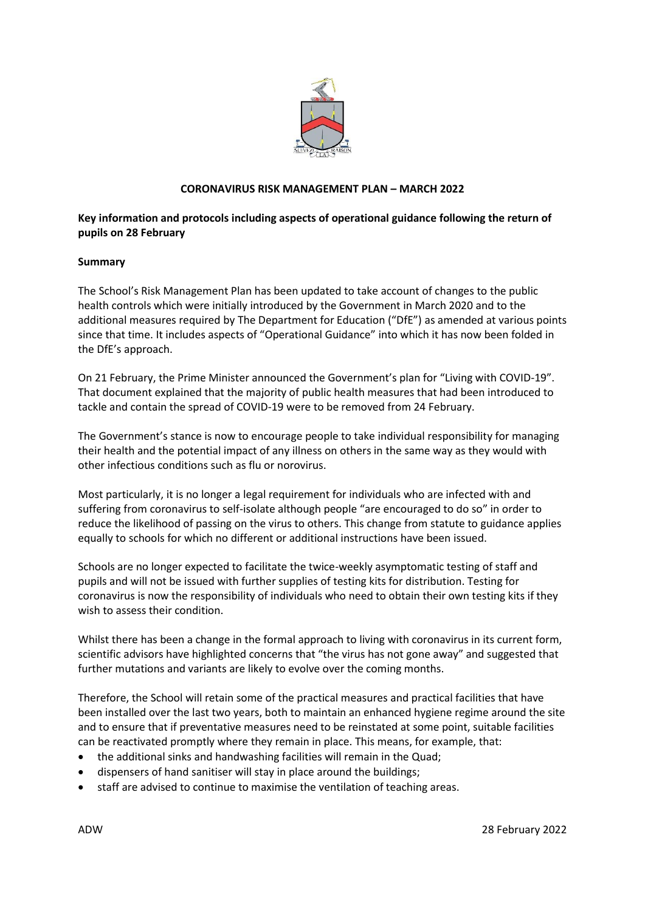

# **CORONAVIRUS RISK MANAGEMENT PLAN – MARCH 2022**

# **Key information and protocols including aspects of operational guidance following the return of pupils on 28 February**

## **Summary**

The School's Risk Management Plan has been updated to take account of changes to the public health controls which were initially introduced by the Government in March 2020 and to the additional measures required by The Department for Education ("DfE") as amended at various points since that time. It includes aspects of "Operational Guidance" into which it has now been folded in the DfE's approach.

On 21 February, the Prime Minister announced the Government's plan for "Living with COVID-19". That document explained that the majority of public health measures that had been introduced to tackle and contain the spread of COVID-19 were to be removed from 24 February.

The Government's stance is now to encourage people to take individual responsibility for managing their health and the potential impact of any illness on others in the same way as they would with other infectious conditions such as flu or norovirus.

Most particularly, it is no longer a legal requirement for individuals who are infected with and suffering from coronavirus to self-isolate although people "are encouraged to do so" in order to reduce the likelihood of passing on the virus to others. This change from statute to guidance applies equally to schools for which no different or additional instructions have been issued.

Schools are no longer expected to facilitate the twice-weekly asymptomatic testing of staff and pupils and will not be issued with further supplies of testing kits for distribution. Testing for coronavirus is now the responsibility of individuals who need to obtain their own testing kits if they wish to assess their condition.

Whilst there has been a change in the formal approach to living with coronavirus in its current form, scientific advisors have highlighted concerns that "the virus has not gone away" and suggested that further mutations and variants are likely to evolve over the coming months.

Therefore, the School will retain some of the practical measures and practical facilities that have been installed over the last two years, both to maintain an enhanced hygiene regime around the site and to ensure that if preventative measures need to be reinstated at some point, suitable facilities can be reactivated promptly where they remain in place. This means, for example, that:

- the additional sinks and handwashing facilities will remain in the Quad;
- dispensers of hand sanitiser will stay in place around the buildings;
- staff are advised to continue to maximise the ventilation of teaching areas.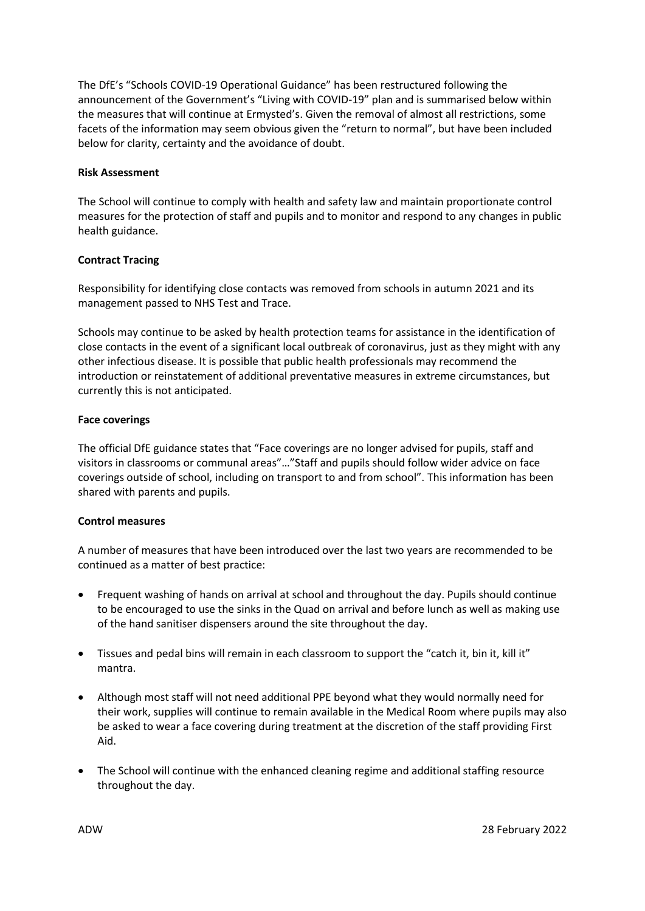The DfE's "Schools COVID-19 Operational Guidance" has been restructured following the announcement of the Government's "Living with COVID-19" plan and is summarised below within the measures that will continue at Ermysted's. Given the removal of almost all restrictions, some facets of the information may seem obvious given the "return to normal", but have been included below for clarity, certainty and the avoidance of doubt.

## **Risk Assessment**

The School will continue to comply with health and safety law and maintain proportionate control measures for the protection of staff and pupils and to monitor and respond to any changes in public health guidance.

## **Contract Tracing**

Responsibility for identifying close contacts was removed from schools in autumn 2021 and its management passed to NHS Test and Trace.

Schools may continue to be asked by health protection teams for assistance in the identification of close contacts in the event of a significant local outbreak of coronavirus, just as they might with any other infectious disease. It is possible that public health professionals may recommend the introduction or reinstatement of additional preventative measures in extreme circumstances, but currently this is not anticipated.

### **Face coverings**

The official DfE guidance states that "Face coverings are no longer advised for pupils, staff and visitors in classrooms or communal areas"…"Staff and pupils should follow wider advice on face coverings outside of school, including on transport to and from school". This information has been shared with parents and pupils.

## **Control measures**

A number of measures that have been introduced over the last two years are recommended to be continued as a matter of best practice:

- Frequent washing of hands on arrival at school and throughout the day. Pupils should continue to be encouraged to use the sinks in the Quad on arrival and before lunch as well as making use of the hand sanitiser dispensers around the site throughout the day.
- Tissues and pedal bins will remain in each classroom to support the "catch it, bin it, kill it" mantra.
- Although most staff will not need additional PPE beyond what they would normally need for their work, supplies will continue to remain available in the Medical Room where pupils may also be asked to wear a face covering during treatment at the discretion of the staff providing First Aid.
- The School will continue with the enhanced cleaning regime and additional staffing resource throughout the day.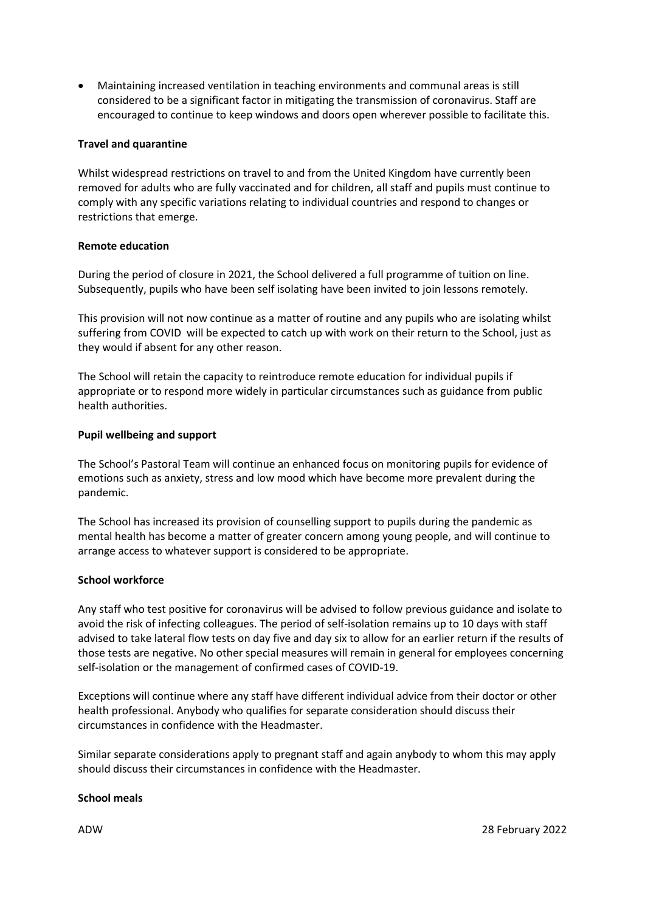• Maintaining increased ventilation in teaching environments and communal areas is still considered to be a significant factor in mitigating the transmission of coronavirus. Staff are encouraged to continue to keep windows and doors open wherever possible to facilitate this.

## **Travel and quarantine**

Whilst widespread restrictions on travel to and from the United Kingdom have currently been removed for adults who are fully vaccinated and for children, all staff and pupils must continue to comply with any specific variations relating to individual countries and respond to changes or restrictions that emerge.

### **Remote education**

During the period of closure in 2021, the School delivered a full programme of tuition on line. Subsequently, pupils who have been self isolating have been invited to join lessons remotely.

This provision will not now continue as a matter of routine and any pupils who are isolating whilst suffering from COVID will be expected to catch up with work on their return to the School, just as they would if absent for any other reason.

The School will retain the capacity to reintroduce remote education for individual pupils if appropriate or to respond more widely in particular circumstances such as guidance from public health authorities.

### **Pupil wellbeing and support**

The School's Pastoral Team will continue an enhanced focus on monitoring pupils for evidence of emotions such as anxiety, stress and low mood which have become more prevalent during the pandemic.

The School has increased its provision of counselling support to pupils during the pandemic as mental health has become a matter of greater concern among young people, and will continue to arrange access to whatever support is considered to be appropriate.

#### **School workforce**

Any staff who test positive for coronavirus will be advised to follow previous guidance and isolate to avoid the risk of infecting colleagues. The period of self-isolation remains up to 10 days with staff advised to take lateral flow tests on day five and day six to allow for an earlier return if the results of those tests are negative. No other special measures will remain in general for employees concerning self-isolation or the management of confirmed cases of COVID-19.

Exceptions will continue where any staff have different individual advice from their doctor or other health professional. Anybody who qualifies for separate consideration should discuss their circumstances in confidence with the Headmaster.

Similar separate considerations apply to pregnant staff and again anybody to whom this may apply should discuss their circumstances in confidence with the Headmaster.

#### **School meals**